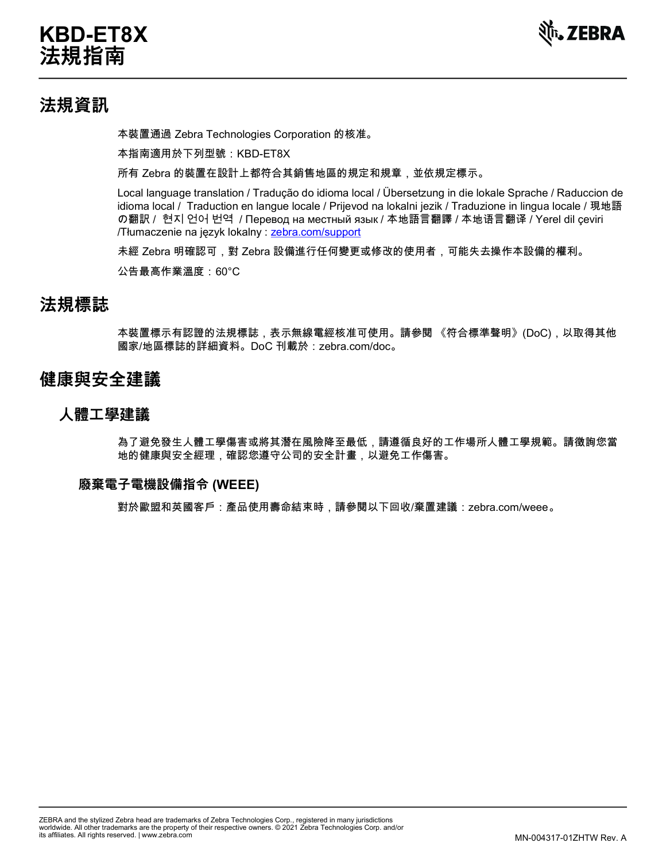# **KBD-ET8X 法規指南**



## **法規資訊**

本裝置通過 Zebra Technologies Corporation 的核准。

本指南適用於下列型號:KBD-ET8X

所有 Zebra 的裝置在設計上都符合其銷售地區的規定和規章,並依規定標示。

Local language translation / Tradução do idioma local / Übersetzung in die lokale Sprache / Raduccion de idioma local / Traduction en langue locale / Prijevod na lokalni jezik / Traduzione in lingua locale / 現地語 の翻訳 / 현지 언어 번역 / Перевод на местный язык / 本地語言翻譯 / 本地语言翻译 / Yerel dil çeviri /Tłumaczenie na język lokalny : [zebra.com/support](http://www.zebra.com/support)

未經 Zebra 明確認可,對 Zebra 設備進行任何變更或修改的使用者,可能失去操作本設備的權利。

公告最高作業溫度: 60°C

### **法規標誌**

本裝置標示有認證的法規標誌,表示無線電經核准可使用。請參閱 《符合標準聲明》(DoC),以取得其他 國家/地區標誌的詳細資料。DoC 刊載於:zebra.com/doc。

## **健康與安全建議**

#### **人體工學建議**

為了避免發生人體工學傷害或將其潛在風險降至最低,請遵循良好的工作場所人體工學規範。請徵詢您當 地的健康與安全經理,確認您遵守公司的安全計畫,以避免工作傷害。

#### **廢棄電子電機設備指令 (WEEE)**

對於歐盟和英國客戶:產品使用壽命結束時,請參閱以下回收/棄置建議:zebra.com/weee 。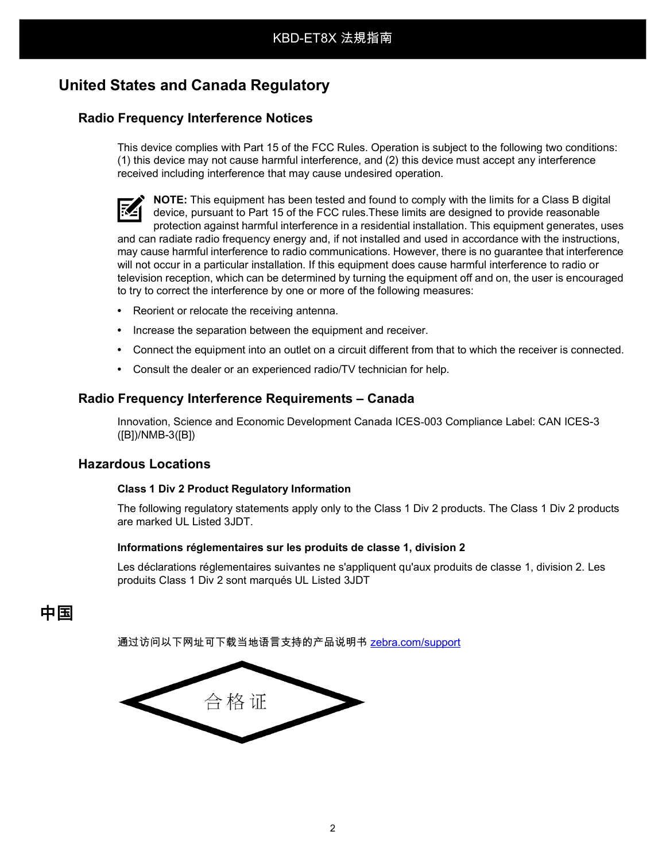## **United States and Canada Regulatory**

#### **Radio Frequency Interference Notices**

This device complies with Part 15 of the FCC Rules. Operation is subject to the following two conditions: (1) this device may not cause harmful interference, and (2) this device must accept any interference received including interference that may cause undesired operation.

**NOTE:** This equipment has been tested and found to comply with the limits for a Class B digital device, pursuant to Part 15 of the FCC rules.These limits are designed to provide reasonable protection against harmful interference in a residential installation. This equipment generates, uses and can radiate radio frequency energy and, if not installed and used in accordance with the instructions, may cause harmful interference to radio communications. However, there is no guarantee that interference will not occur in a particular installation. If this equipment does cause harmful interference to radio or television reception, which can be determined by turning the equipment off and on, the user is encouraged to try to correct the interference by one or more of the following measures:

- **•** Reorient or relocate the receiving antenna.
- **•** Increase the separation between the equipment and receiver.
- **•** Connect the equipment into an outlet on a circuit different from that to which the receiver is connected.
- **•** Consult the dealer or an experienced radio/TV technician for help.

#### **Radio Frequency Interference Requirements – Canada**

Innovation, Science and Economic Development Canada ICES-003 Compliance Label: CAN ICES-3 ([B])/NMB-3([B])

#### **Hazardous Locations**

#### **Class 1 Div 2 Product Regulatory Information**

The following regulatory statements apply only to the Class 1 Div 2 products. The Class 1 Div 2 products are marked UL Listed 3JDT.

#### **Informations réglementaires sur les produits de classe 1, division 2**

Les déclarations réglementaires suivantes ne s'appliquent qu'aux produits de classe 1, division 2. Les produits Class 1 Div 2 sont marqués UL Listed 3JDT

## **中国**

通过访问以下网址可下载当地语言支持的产品说明书 <u>[zebra.com/support](http://www.zebra.com/support)</u>

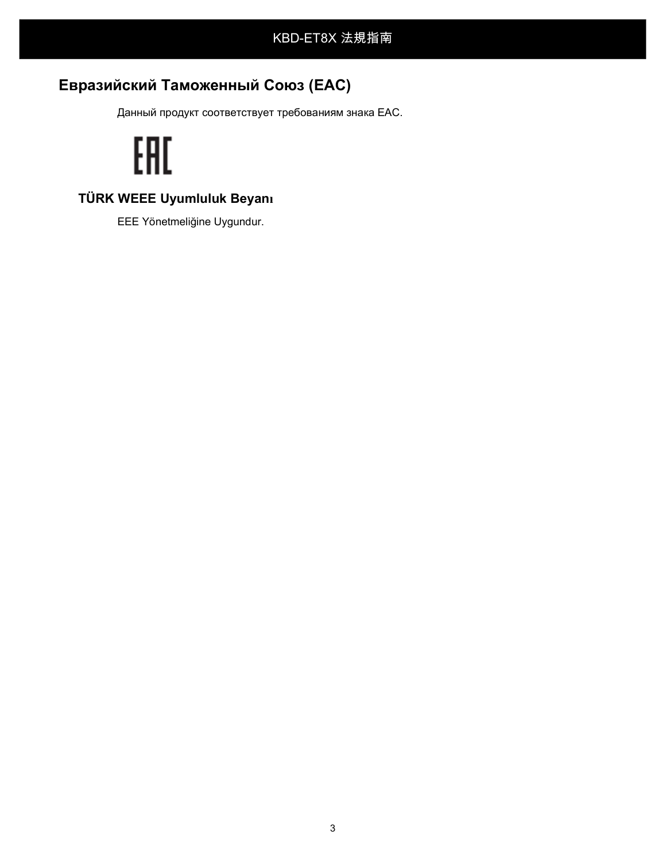# **Евразийский Таможенный Союз (EAC)**

Данный продукт соответствует требованиям знака EAC.

# EAC

## **TÜRK WEEE Uyumluluk Beyanı**

EEE Yönetmeliğine Uygundur.